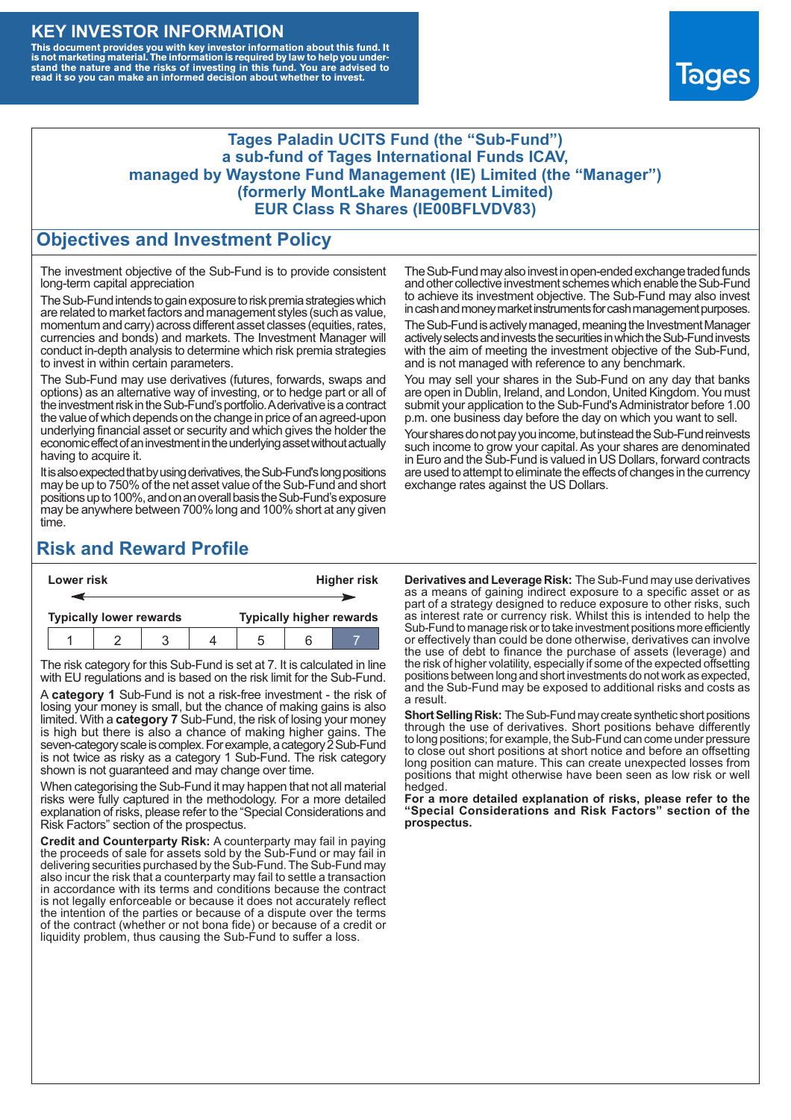### **KEY INVESTOR INFORMATION**

This document provides you with key investor information about this fund. It<br>is not marketing material. The information is required by law to help you under-<br>stand the nature and the risks of investing in this fund. You ar



#### **Tages Paladin UCITS Fund (the "Sub-Fund") a sub-fund of Tages International Funds ICAV, managed by Waystone Fund Management (IE) Limited (the "Manager") (formerly MontLake Management Limited) EUR Class R Shares (IE00BFLVDV83)**

### **Objectives and Investment Policy**

The investment objective of the Sub-Fund is to provide consistent long-term capital appreciation

The Sub-Fund intends to gain exposure to risk premia strategies which are related to market factors and management styles (such as value, momentum and carry) across different asset classes (equities, rates, currencies and bonds) and markets. The Investment Manager will conduct in-depth analysis to determine which risk premia strategies to invest in within certain parameters.

The Sub-Fund may use derivatives (futures, forwards, swaps and options) as an alternative way of investing, or to hedge part or all of the investment risk intheSub-Fund's portfolio.Aderivative is a contract the value of which depends on the change in price of an agreed-upon underlying financial asset or security and which gives the holder the economic effect of an investment in the underlying asset without actually having to acquire it.

It is also expected that by using derivatives, the Sub-Fund's long positions may be up to 750% of the net asset value of the Sub-Fund and short positions up to 100%, and on an overall basis the Sub-Fund's exposure may be anywhere between 700% long and 100% short at any given time.

The Sub-Fund may also invest in open-ended exchange traded funds and other collective investment schemes which enable the Sub-Fund to achieve its investment objective. The Sub-Fund may also invest in cash and money market instruments for cash management purposes.

The Sub-Fund is actively managed, meaning the Investment Manager actively selects and invests the securities in which the Sub-Fund invests with the aim of meeting the investment objective of the Sub-Fund, and is not managed with reference to any benchmark.

You may sell your shares in the Sub-Fund on any day that banks are open in Dublin, Ireland, and London, United Kingdom. You must submit your application to the Sub-Fund's Administrator before 1.00 p.m. one business day before the day on which you want to sell.

Your shares do not pay you income, but instead the Sub-Fund reinvests such income to grow your capital. As your shares are denominated in Euro and the Sub-Fund is valued in US Dollars, forward contracts are used to attempt to eliminate the effects of changes in the currency exchange rates against the US Dollars.

# **Risk and Reward Profile**

| Lower risk |                                |  |  |  | <b>Higher risk</b>              |     |  |  |
|------------|--------------------------------|--|--|--|---------------------------------|-----|--|--|
|            |                                |  |  |  |                                 |     |  |  |
|            | <b>Typically lower rewards</b> |  |  |  | <b>Typically higher rewards</b> |     |  |  |
|            |                                |  |  |  |                                 | ี่ค |  |  |

The risk category for this Sub-Fund is set at 7. It is calculated in line with EU regulations and is based on the risk limit for the Sub-Fund.

A **category 1** Sub-Fund is not a risk-free investment - the risk of losing your money is small, but the chance of making gains is also limited. With a **category 7** Sub-Fund, the risk of losing your money is high but there is also a chance of making higher gains. The seven-category scale is complex. For example, a category 2 Sub-Fund is not twice as risky as a category 1 Sub-Fund. The risk category shown is not guaranteed and may change over time.

When categorising the Sub-Fund it may happen that not all material risks were fully captured in the methodology. For a more detailed explanation of risks, please refer to the "Special Considerations and Risk Factors" section of the prospectus.

**Credit and Counterparty Risk:** A counterparty may fail in paying the proceeds of sale for assets sold by the Sub-Fund or may fail in delivering securities purchased by the Sub-Fund. The Sub-Fund may also incur the risk that a counterparty may fail to settle a transaction in accordance with its terms and conditions because the contract is not legally enforceable or because it does not accurately reflect the intention of the parties or because of a dispute over the terms of the contract (whether or not bona fide) or because of a credit or liquidity problem, thus causing the Sub-Fund to suffer a loss.

**Derivatives and Leverage Risk:** The Sub-Fund may use derivatives as a means of gaining indirect exposure to a specific asset or as part of a strategy designed to reduce exposure to other risks, such as interest rate or currency risk. Whilst this is intended to help the Sub-Fund to manage risk or to take investment positions more efficiently or effectively than could be done otherwise, derivatives can involve the use of debt to finance the purchase of assets (leverage) and the risk of higher volatility, especially if some of the expected offsetting positions between long and short investments do not work as expected, and the Sub-Fund may be exposed to additional risks and costs as a result.

**Short Selling Risk:** The Sub-Fund may create synthetic short positions through the use of derivatives. Short positions behave differently to long positions; for example, the Sub-Fund can come under pressure to close out short positions at short notice and before an offsetting long position can mature. This can create unexpected losses from positions that might otherwise have been seen as low risk or well hedged.

**For a more detailed explanation of risks, please refer to the "Special Considerations and Risk Factors" section of the prospectus.**